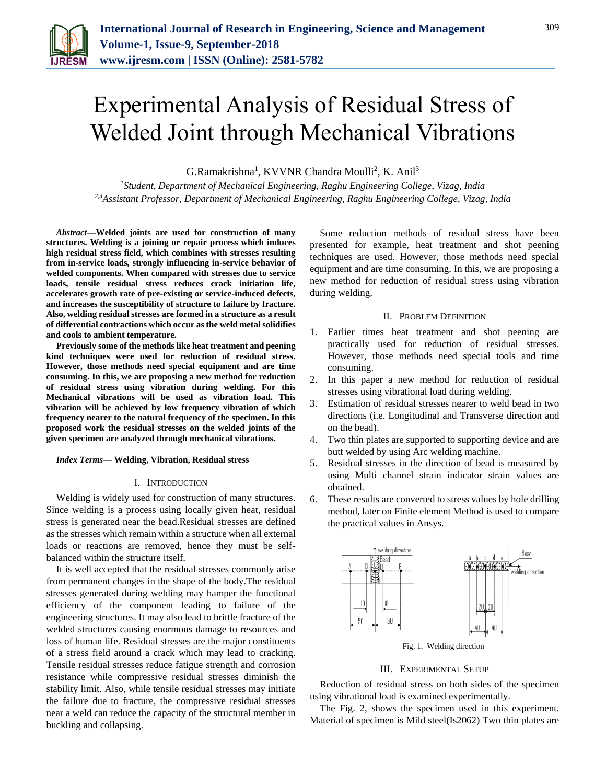

# Experimental Analysis of Residual Stress of Welded Joint through Mechanical Vibrations

G.Ramakrishna<sup>1</sup>, KVVNR Chandra Moulli<sup>2</sup>, K. Anil<sup>3</sup>

*<sup>1</sup>Student, Department of Mechanical Engineering, Raghu Engineering College, Vizag, India 2,3Assistant Professor, Department of Mechanical Engineering, Raghu Engineering College, Vizag, India*

*Abstract***—Welded joints are used for construction of many structures. Welding is a joining or repair process which induces high residual stress field, which combines with stresses resulting from in-service loads, strongly influencing in-service behavior of welded components. When compared with stresses due to service loads, tensile residual stress reduces crack initiation life, accelerates growth rate of pre-existing or service-induced defects, and increases the susceptibility of structure to failure by fracture. Also, welding residual stresses are formed in a structure as a result of differential contractions which occur as the weld metal solidifies and cools to ambient temperature.** 

**Previously some of the methods like heat treatment and peening kind techniques were used for reduction of residual stress. However, those methods need special equipment and are time consuming. In this, we are proposing a new method for reduction of residual stress using vibration during welding. For this Mechanical vibrations will be used as vibration load. This vibration will be achieved by low frequency vibration of which frequency nearer to the natural frequency of the specimen. In this proposed work the residual stresses on the welded joints of the given specimen are analyzed through mechanical vibrations.**

#### *Index Terms***— Welding, Vibration, Residual stress**

#### I. INTRODUCTION

Welding is widely used for construction of many structures. Since welding is a process using locally given heat, residual stress is generated near the bead.Residual stresses are defined as the stresses which remain within a structure when all external loads or reactions are removed, hence they must be selfbalanced within the structure itself.

It is well accepted that the residual stresses commonly arise from permanent changes in the shape of the body.The residual stresses generated during welding may hamper the functional efficiency of the component leading to failure of the engineering structures. It may also lead to brittle fracture of the welded structures causing enormous damage to resources and loss of human life. Residual stresses are the major constituents of a stress field around a crack which may lead to cracking. Tensile residual stresses reduce fatigue strength and corrosion resistance while compressive residual stresses diminish the stability limit. Also, while tensile residual stresses may initiate the failure due to fracture, the compressive residual stresses near a weld can reduce the capacity of the structural member in buckling and collapsing.

Some reduction methods of residual stress have been presented for example, heat treatment and shot peening techniques are used. However, those methods need special equipment and are time consuming. In this, we are proposing a new method for reduction of residual stress using vibration during welding.

## II. PROBLEM DEFINITION

- 1. Earlier times heat treatment and shot peening are practically used for reduction of residual stresses. However, those methods need special tools and time consuming.
- 2. In this paper a new method for reduction of residual stresses using vibrational load during welding.
- 3. Estimation of residual stresses nearer to weld bead in two directions (i.e. Longitudinal and Transverse direction and on the bead).
- 4. Two thin plates are supported to supporting device and are butt welded by using Arc welding machine.
- 5. Residual stresses in the direction of bead is measured by using Multi channel strain indicator strain values are obtained.
- 6. These results are converted to stress values by hole drilling method, later on Finite element Method is used to compare the practical values in Ansys.



Fig. 1. Welding direction

## III. EXPERIMENTAL SETUP

Reduction of residual stress on both sides of the specimen using vibrational load is examined experimentally.

The Fig. 2, shows the specimen used in this experiment. Material of specimen is Mild steel(Is2062) Two thin plates are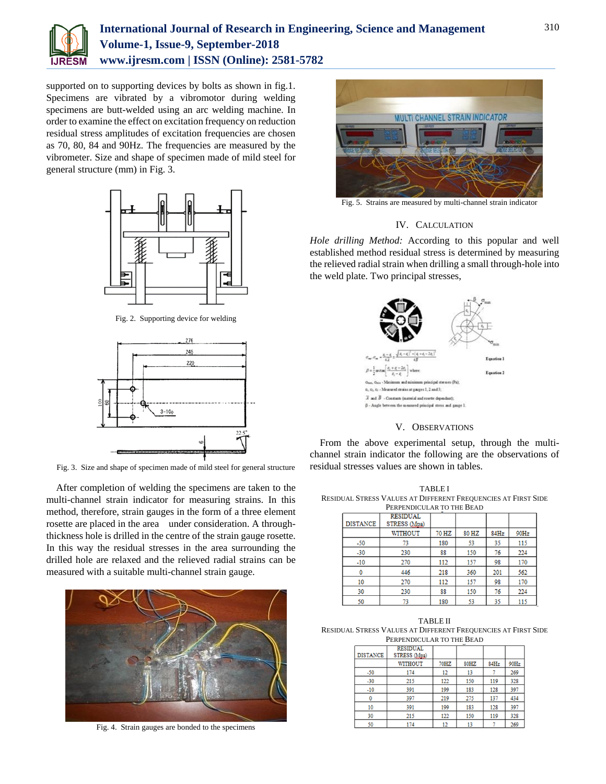

# **International Journal of Research in Engineering, Science and Management Volume-1, Issue-9, September-2018 www.ijresm.com | ISSN (Online): 2581-5782**

supported on to supporting devices by bolts as shown in fig.1. Specimens are vibrated by a vibromotor during welding specimens are butt-welded using an arc welding machine. In order to examine the effect on excitation frequency on reduction residual stress amplitudes of excitation frequencies are chosen as 70, 80, 84 and 90Hz. The frequencies are measured by the vibrometer. Size and shape of specimen made of mild steel for general structure (mm) in Fig. 3.



Fig. 2. Supporting device for welding



Fig. 3. Size and shape of specimen made of mild steel for general structure

After completion of welding the specimens are taken to the multi-channel strain indicator for measuring strains. In this method, therefore, strain gauges in the form of a three element rosette are placed in the area under consideration. A throughthickness hole is drilled in the centre of the strain gauge rosette. In this way the residual stresses in the area surrounding the drilled hole are relaxed and the relieved radial strains can be measured with a suitable multi-channel strain gauge.



Fig. 4. Strain gauges are bonded to the specimens



Fig. 5. Strains are measured by multi-channel strain indicator

# IV. CALCULATION

*Hole drilling Method:* According to this popular and well established method residual stress is determined by measuring the relieved radial strain when drilling a small through-hole into the weld plate. Two principal stresses,



# V. OBSERVATIONS

From the above experimental setup, through the multichannel strain indicator the following are the observations of residual stresses values are shown in tables.

TABLE I RESIDUAL STRESS VALUES AT DIFFERENT FREQUENCIES AT FIRST SIDE

| PERPENDICULAR TO THE BEAD |                                 |       |       |      |      |  |  |  |
|---------------------------|---------------------------------|-------|-------|------|------|--|--|--|
| <b>DISTANCE</b>           | <b>RESIDUAL</b><br>STRESS (Mpa) |       |       |      |      |  |  |  |
|                           | WITHOUT                         | 70 HZ | 80 HZ | 84Hz | 90Hz |  |  |  |
| $-50$                     | 73                              | 180   | 53    | 35   | 115  |  |  |  |
| $-30$                     | 230                             | 88    | 150   | 76   | 224  |  |  |  |
| $-10$                     | 270                             | 112   | 157   | 98   | 170  |  |  |  |
|                           | 446                             | 218   | 360   | 201  | 562  |  |  |  |
| 10                        | 270                             | 112   | 157   | 98   | 170  |  |  |  |
| 30                        | 230                             | 88    | 150   | 76   | 224  |  |  |  |
| 50                        | 72                              | 190   | 52    | 25   | 115  |  |  |  |

TABLE II RESIDUAL STRESS VALUES AT DIFFERENT FREQUENCIES AT FIRST SIDE PERPENDICULAR TO THE BEAD

| ÷               |                                 |      |      |      |      |  |  |
|-----------------|---------------------------------|------|------|------|------|--|--|
| <b>DISTANCE</b> | <b>RESIDUAL</b><br>STRESS (Mpa) |      |      |      |      |  |  |
|                 | <b>WITHOUT</b>                  | 70HZ | 80HZ | 84Hz | 90Hz |  |  |
| $-50$           | 174                             | 12   | 13   |      | 269  |  |  |
| $-30$           | 215                             | 122  | 150  | 119  | 328  |  |  |
| $-10$           | 391                             | 199  | 183  | 128  | 397  |  |  |
| 0               | 397                             | 219  | 275  | 137  | 434  |  |  |
| 10              | 391                             | 199  | 183  | 128  | 397  |  |  |
| 30              | 215                             | 122  | 150  | 119  | 328  |  |  |
| 50              | 174                             | 12   | 13   |      | 269  |  |  |